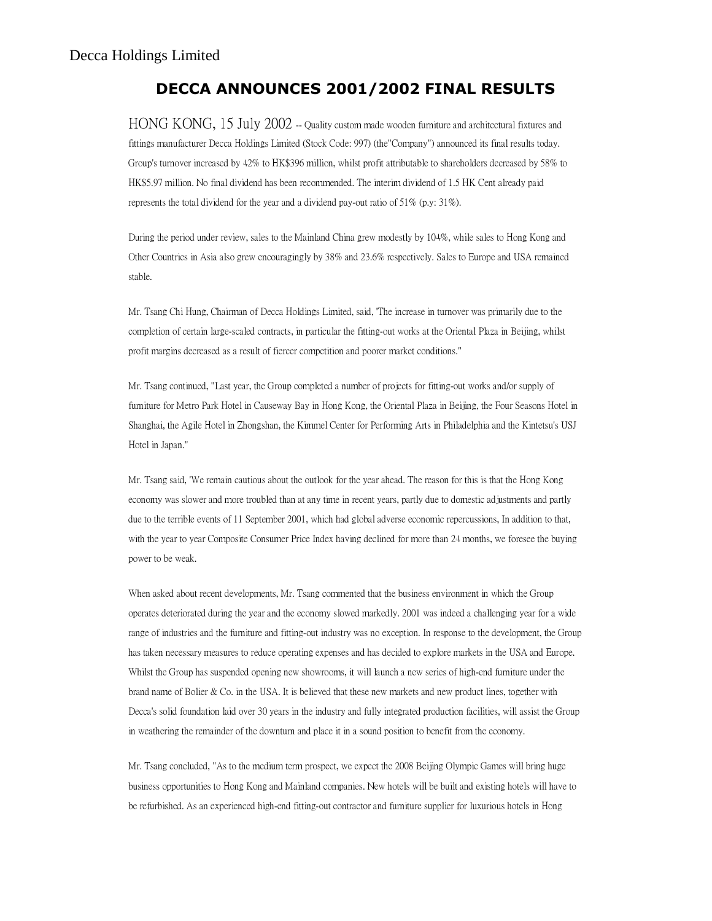## DECCA ANNOUNCES 2001/2002 FINAL RESULTS

HONG KONG, 15 July 2002 -- Quality custom made wooden furniture and architectural fixtures and fittings manufacturer Decca Holdings Limited (Stock Code: 997) (the"Company") announced its final results today. Group's turnover increased by 42% to HK\$396 million, whilst profit attributable to shareholders decreased by 58% to HK\$5.97 million. No final dividend has been recommended. The interim dividend of 1.5 HK Cent already paid represents the total dividend for the year and a dividend pay-out ratio of 51% (p.y: 31%).

During the period under review, sales to the Mainland China grew modestly by 104%, while sales to Hong Kong and Other Countries in Asia also grew encouragingly by 38% and 23.6% respectively. Sales to Europe and USA remained stable.

Mr. Tsang Chi Hung, Chairman of Decca Holdings Limited, said, 'The increase in turnover was primarily due to the completion of certain large-scaled contracts, in particular the fitting-out works at the Oriental Plaza in Beijing, whilst profit margins decreased as a result of fiercer competition and poorer market conditions."

Mr. Tsang continued, "Last year, the Group completed a number of projects for fitting-out works and/or supply of furniture for Metro Park Hotel in Causeway Bay in Hong Kong, the Oriental Plaza in Beijing, the Four Seasons Hotel in Shanghai, the Agile Hotel in Zhongshan, the Kimmel Center for Performing Arts in Philadelphia and the Kintetsu's USJ Hotel in Japan."

Mr. Tsang said, 'We remain cautious about the outlook for the year ahead. The reason for this is that the Hong Kong economy was slower and more troubled than at any time in recent years, partly due to domestic adjustments and partly due to the terrible events of 11 September 2001, which had global adverse economic repercussions, In addition to that, with the year to year Composite Consumer Price Index having declined for more than 24 months, we foresee the buying power to be weak.

When asked about recent developments, Mr. Tsang commented that the business environment in which the Group operates deteriorated during the year and the economy slowed markedly. 2001 was indeed a challenging year for a wide range of industries and the furniture and fitting-out industry was no exception. In response to the development, the Group has taken necessary measures to reduce operating expenses and has decided to explore markets in the USA and Europe. Whilst the Group has suspended opening new showrooms, it will launch a new series of high-end furniture under the brand name of Bolier & Co. in the USA. It is believed that these new markets and new product lines, together with Decca's solid foundation laid over 30 years in the industry and fully integrated production facilities, will assist the Group in weathering the remainder of the downturn and place it in a sound position to benefit from the economy.

Mr. Tsang concluded, "As to the medium term prospect, we expect the 2008 Beijing Olympic Games will bring huge business opportunities to Hong Kong and Mainland companies. New hotels will be built and existing hotels will have to be refurbished. As an experienced high-end fitting-out contractor and furniture supplier for luxurious hotels in Hong